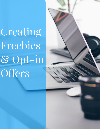Creating Freebies & Opt-in Offers

[michelecriley.com](http://michelecriley.com) 1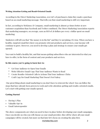## **Writing Attention-Getting and Result-Oriented Emails**

According to the Direct Marketing Association, over 66% of purchasers claim they made a purchase based on an email marketing message. That tells you that email marketing is still very important.

In fact, according to McKinsey & Company, email marketing is almost 40 times better at new customer acquisition than Facebook and Twitter combined. The Direct Marketing Association reports that marketing managers, on average, earn an ROI of 38 dollars per every 1 dollar spent on email marketing.

Marketers will tell you that "the money is in the list" and they're not joking. It's true. When you have a healthy, targeted email list where you promote relevant products and services, your income will continue to grow. However, you need to develop a plan and strategy to ensure your emails get opened.

You want to build a healthy list, and that means getting subscribers who are interested in what you have to offer, in the form of content and your products and services.

## **In this course you're going to learn how to:**

- Get Your Audience to Open Your Emails
- Write Efective Email Copy That Your Audience Wants to Read
- Create Results-Oriented Calls to Actions That Your Audience Clicks
- Craft Copy for Email Marketing That Doesn't Feel Salesy

 One great thing about email marketing is you don't have to reinvent the wheel. You can follow the steps that have already been proven to work and write attention-getting and results-oriented emails. Let's start with getting your emails opened.

## **Getting Started**

- Having A Plan
- Valuable Opt-in
- Email Autoresponder

The above components are what you need to have in place before developing your email campaigns. Once you decide on who you will choose as your email provider, this will be where all your email campaigns will be created, but more on that later let's focus on creating the plan first.

[michelecriley.com](http://michelecriley.com) 2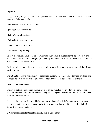## **Objectives**

The goal to anything is what are your objectives with your email campaigns. What actions do you want your followers to take.

- Subscribe to your Youtube Channel
- Join Your Facebook Group
- Follow You On Instagram
- Subscribe to your newsletter
- Send traffic to your website.
- Send traffic to your blog

Once you determine your goal for creating your campaigns then the rest will be easy for you to create. What type of content will you provide for your subscribers once they have taken action and downloaded your free resource.

You have to keep your subscribers engaged and not leave them hanging on your email list without any follow-up.

The ultimate goal is to turn your subscribers into customers. Where you offer your products and services, however before you do this you need to nurture them before you sell to them.

#### **Creating Your Opt-in Offers**

The key to getting subscribers on your list is to have a valuable opt-in offer. This comes with knowing your audience and the problems they are having and the solution that you can provide for them via your free-offers.

The key point is your offers should give your subscribers valuable information where they can receive a result… example if you are trying to help someone lose weight by changing their diet, then a great opt-in would be

1. A low carb recipes for breakfast, lunch, dinner and a snack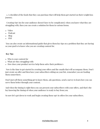2. A checklist of the foods that they can purchase that will help them get started on their weight loss journey.

 Creating Opt-ins for your audience doesn't have to be complicated, when you know what they are struggling with, then you can create a solution for them in various forms.

- Video
- Podcast
- Blog
- PDF

 You can also create an informational guide that gives them key tips on a problem that they are having so your goal is to know who you are creating content for.

## **Key Tips**

- Who is your content for
- What are they struggling with
- How does your product/service help them solve their problem/s

Now is the time to get started in creating your offers and the emails that will accompany them. Don't just create an offer and then have your subscribers sitting on your list, remember you are leading them somewhere.

Don't just sell them something get to know them, ask questions, send a survey to learn how you can serve them better through your content.

And when the timing is right then you can present your subscribers with your ofers, and that's the key knowing the timing of when your audience is ready to buy from you.

So now let's get down to work and begin creating those opt-in offers for your subscribers.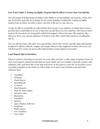## **Fast Track Guide 1: Setting Up Highly Targeted Opt-In Offers to Grow Your List Quickly**

One advantage of doing business online is the ability to set up multiple sale funnels, which ofer opt-in freebies and info, in exchange for the reader joining a mailing list. Setting up highly targeted opt-in offers, in order to grow your list, is the key to your success.

An opt-in offer is essentially an ethical bribe that you give your audience to make them want to provide their email address to you so that you can put them on your email list. The item or items used as the incentives are frequently called lead magnets. This is because, like magnets, they attract or draw your chosen audience or leads to your offer, which often involves a mailing list opt-in.

You can add the leads, who opts-in to special lists, where they receive specific topic information designed to inform, educate, engage, and inspire them to take suggested actions. However, you will first need to create an opt-in offer that includes a lead magnet or incentive.

## **Lead Magnet Opt-in Incentives**

When it comes to choosing an incentive for your offer, you have a wide range of options. Here are a few lead magnet content formats that are used widely and successfully to provide readers with solutions, info, and items they want and need most. In the process, your opt-in incentives serve as product samples to new leads, as well as help you to grow and maintain your potential customer base.

- Checklists
- Webinars
- Cheat Sheets
- **Spreadsheets**
- eCourses
- Short Reports
- Step-By-Step Guides
- Resource Lists
- Blueprints
- Printable's
- Quizzes
- Apps, Plugins, Software
- Templates
- White papers
- Free Graphics
- Free Trials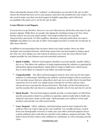When selecting the format of the "solution" or information you provide in the opt-in offer, choose the format that best serves your purpose and solves the problem for your readers. You also need to make sure that your lead magnet is helpful, appealing, and it efectively accomplishes the goals you've set for the opt-in offer.

#### **Create Effective Lead Magnets**

Everyone loves to get freebies. However, you can't offer just any old freebie and expect to get massive signups. While there are people who signup for anything as long as it's free, these freebie seekers are not your target market. Your target market has very specific characteristics and needs. It's their qualities, situations, and pain points that you want to highlight and address in your opt-in offers' lead magnet incentive to make the overall opt-in ofer more efective.

In addition to incorporating what you know about your target market, there are other strategies and essential elements, which help ensure that your lead magnet is doing a good job. Here are a few things you want to keep in mind as you create the most efective lead magnet possible for your business and your potential customers.

- **Quick Usability** Efective lead magnets should be accessed quickly, usually within a day or so. This allows the audience to begin implementing the solution or applying the information almost immediately. Quick delivery helps to build trust, which means they're more likely to respond to your follow up email messages.
- **Comprehensible** The offers and lead magnets must be clear and easy for the target audience to understand. Matching your audience and lead magnet with an experience level can help ensure that new subscribers don't opt-in to an offer that is beyond their experience level or need. Use simple terms/concepts for newbies and use more advanced terms/concepts for advanced learners. This helps cut the frustration level and the unsubscribe rate down to a minimum. Identify who it's for and who it's not for.
- **Quick Results** –The best lead magnets quickly provide a certain degree of relief from specific pain points related to a problem or question. Quick results help to build your authority and expert status on the topic, which prompts your audience to buy paid products and provide you with earned media.
- [michelecriley.com](http://michelecriley.com) 6 **Laser Targeted** – Offers, solutions, and information must be laser targeted to the audience that you want to sign up for your email list. Use a profile persona, created from your demographic research, to make sure your offers and lead magnets always contain solutions and words that are specific to the audience segment and topic. This helps to keep freebie seekers and confusion to a minimum, as well as keeping your list clean.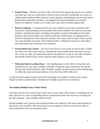- **Funnel Vision** Whether you do it at the end of the lead magnet document or in a follow up email, give your new subscribers a hint of what action they should take next. Just as a syllabus helps students follow along in school, getting a small glimpse of your sales funnel lineup helps subscribers to follow your suggested recommendations in an orderly fashion. In addition, it helps you to make more sales after an initial signup ofer.
- **Brand Consistent** It's important for your opt-in offers to be brand consistent. This means the visual branding and the quality of the items should be the same as your paid products. Keeping the topics, branding, and quality consistent throughout your entire business/sales funnel makes your audience feel safe whether they are signing up for a freebie or buying your most expensive product. They know what to expect from you and can easily identify your items. This feeling of safety is ultimately turns new subscribers into returning, loyal, and long-term customers.
- **Focused Relevant Content** It's easy to lose focus as you create an opt-in offer. To help you make your ofer more efective, identify the most popular posts and topics on your site. Create an offer, for content that doesn't already have an opt-in. The offer should be specifically related to the content and the target audience you want to attract.
- **Dedicated Opt-in Landing Pages** Your landing pages can be short or long, but each should focus on one topic, solution, and offer. Design the page to introduce the freebie and provide details about the offer's benefits. Include an opt-in form on the landing page to collect the name and email address, where the item will be delivered.

An effective lead magnet requires that it be something your audience needs, wants, and is simple for them to understand. It should also be highly targeted to your audience.

## **Developing Multiple Entry Points Onsite**

Now that you know the various types of opt-ins you can create, what makes a compelling opt-in offer, plus how to create a compelling offer it's important to know the one key to ensuring you get more signups – have multiple points of entry.

Having multiple entry points in the funnel provides your audience with many opportunities to sign up for your email list. This means that you can segment your list even more in order to super target their interests and pain points.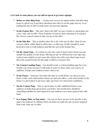#### **Let's look at some places you can add an opt-in to get more signups:**

- **Before or After Blog Posts** -- Giving your viewers an option before and after blog posts is a great way to get their attention since they're on the page anyway. Even putting the opt-in offer in both spots can increase signups.
- **In the Feature Box** This area "above the fold" on your website is a good place for a site-wide, opt-in offer. There is plenty of room to draw attention to it and give the viewers a good reason to take you up on the offer.
- In the Side Bar This is another place for a site wide opt-in offer. Most of your viewers will be a little blind to offers here, so this type of offer should be more general to your overall audience just like the one in the feature box.
- **On the About Page** If a visitor to your site wants to learn more about you and sample the quality of your items, offering an opt-in will increase your sign-ups. Look at your analytics to get some idea about who visits your about page to get ideas but a good freebie for this page would be a resource list.
- **On Custom Landing Pages** You should create a custom landing page for every freebie you create because it will make it easier to share when you want to. In addition, it helps your audience know what to do.
- **In the Footer** Someone who takes the time to scroll all the way down to your footer really wants information about you and your ofers. A site wide freebie in the footer is a great place to get more sign-ups from very interested candidates.
- **On the Contact Page** This is a great place to offer additional help to your audience to help them get to know you better. The freebie here should be something suitable for and targeted to your audience on a more general site wide basis.
- **In a Popup, Slide, or Pop-under** You can set these up now to be specific to the page your audience is visiting which can help you make the opt-in more targeted than a site wide opt-in offer.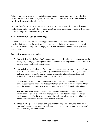While it may seem like a lot of work, the more places you can show an opt-in offer the better your results will be. The great thing is that you can reuse some of the freebies, if they fit with the content on the page.

 You have barely 8 seconds to capture and hold your viewers' attention, but with a good landing page and a relevant offer, you can keep their attention longer by getting them onto your list and part of your marketing funnel.

# **Best Practices for Your Squeeze Page**

Let's talk a bit about creating your landing pages for your opt-in offers. There are a few best practices that you can use for any type of squeeze page, landing page, sales page, or opt-in ofer. Some best practices make your squeeze pages work more efectively so more people grab your opt-in offer.

## **Your opt-in squeeze page should**:

- **Dedicated to One Offer** Don't confuse your audience by ofering more than one opt-in ofer per squeeze page. Your squeeze page doesn't have to be long; in fact, when it comes to opt-ins, a short and simple page is better.
- **Dedicated to One Audience** When you set up special landing pages for each offer, you can also set up special landing pages for your audience members. For example, if your audience member comes to your site from a specific place, having a specialized and dedicated landing page will make your offer convert at a higher rate.
- **Headlines** Ensure that you capture your target audiences' attention by using words, phrases, descriptions, and hooks that speak to them or identify them, specifically. If they know the message pertains to them, they're more likely to click through and read more.
- **Testimonials –** Add testimonials from people who are in the same target market. Testimonials help people decided whether you're to be trusted and whether there is a viable solution to make life better or easier. Hint: Ask for testimonials in your follow up emails for every product, service, or freebie that you offer.
- **Video & Images** To be effective images should be large, attractive, and stand out on your landing pages. An attractive cover image, an introductory video, and big "download" buttons help improve conversions.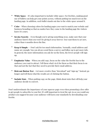- **White Space** It's also important to include white space. For freebies, making good use of bullets can help get your points across, without putting too much text on the landing page. In addition, each bullet stands out due to the white space around it.
- **Color** When choosing colors for landing pages you want to match your website and business branding so that no matter how they come to the landing page the visitors know it's yours.
- **Invoke Scarcity** Even though you're giving something away, make sure that your audience knows that you won't be giving it away forever. You want them to act now, rather than 6 months down the line.
- **Keep it Simple** -- Don't ask for too much information. Normally, email address and name are enough. You can always send them a survey and follow up to get more info. In general, the more information you ask for on the form, the fewer people will sign up.
- **Emphasize Value** When you add copy, focus on the value the freebie has to the audience you want to attract. Tell them what's in it for them so that their focus is on that and not the fact that they need to provide their email address.
- **Relevant Button Text** Get more creative than "download" and "sign up." Instead, go longer and tell them what the results are of clicking the button.
- **Include Stats** When putting copy on the page, think about stats that will help your audience decide to convert.

Don't underestimate the importance of your squeeze page even when promoting a free offer to get people to subscribe to your list. It's still important to treat the opt-in as you would any product you suggest because your audience will learn your standards by downloading your freebie.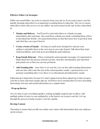# **Effective Follow Up Strategies**

While your email follow-up series is separate from your opt-in, if you want to grow your list quickly, keeping subscribers is as important as getting them to subscribe. The way to ensure subscribers stick with you is to set up a follow-up series based on the opt-in they subscribed to.

- **Thanks and Delivery**  You'll need to send subscribers to a thank you page immediately after purchase. Also send them a thank you email, reminding them of how to download the freebie. Give good instructions so that they know how to get their item and what they can expect from it.
- **Create a Series of Emails** Develop an email series designed to educate your audience and guide them to the next step in your sales funnel. Talk about their topic related problems, and work up to providing the paid solutions.
- **Keep Emails Relevant** When creating the autoresponder messages, it's important to think about how the person entered your list, what they downloaded, and what their pain points are so that you can stay pertinent.
- **Add Trending Info** Once they're on your list, you can also add trending information and one time offers into the mix of the autoresponder emails. A good practice is to promote something after every three or so educational and informative emails.

Following up is imperative because it's what's going to keep them signed up so that you grow your list as more and more people sign up. You'll have fewer unsubscribes if you're providing interesting, relevant, and useful information on a regular basis.

## **Wrap-up Review**

Now it's time to put everything together. Setting up highly targeted opt-in ofers, with multiple points of entry to your mailing list, is the fastest way to grow your list. Let's go through the process to help you grow your list, quickly.

## **Develop Content**

This helps to ensure that you fill your online real-estate with information that your audience needs to know.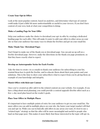#### **Create Your Opt-in Offers**

Look at the most popular content, based on analytics, and determine what type of content could make it just a little bit more understandable or useful to your viewers. If you don't have content of your own, look at what your competition is doing.

## **Make a Landing Page for Your Offer**

Help your audience make the choice to download your opt-in offer by creating a dedicated landing page for each offer. This will make it easier to add your offers to other areas on your site so that your audience has many ways to obtain the freebies and get on your email list.

#### **Make Thank You / Download Pages**

Don't forget to make use of the thank you or download page. You can put an up sell on a freebie download page. However, make the directions on the thank you page prominent, so that they know exactly what to expect.

#### **Develop an Autoresponder Series for Each Freebie**

Take the time to create 7 to 10 emails to thank your audience for subscribing to your list, remind them how to grab the freebie, and to educate them about their pain points and your solutions. This is the time to show your subscribers what to expect from you by giving them an example of your knowledge and integrity.

#### **Match Offers with Relevant Content**

Once you've created an offer add it to the related content on your website. For example, if you have a blog about meal planning, you could provide a content upgrade (freebie offer) such as a free 3-day meal plan based on the reader's goals.

#### **Place Your Offers in Multiple Places**

It's important to have multiple points of entry for your audience to get on your email list. The more offers you can add in multiple places on your site, the faster your target market will find you and opt-in. While you can technically add offers in any areas you want, it's best to use a "related topic" strategy so that the offer will be more meaningful and useful to people who land on that page/post. This makes it more likely that those interested in the topic will opt-in.